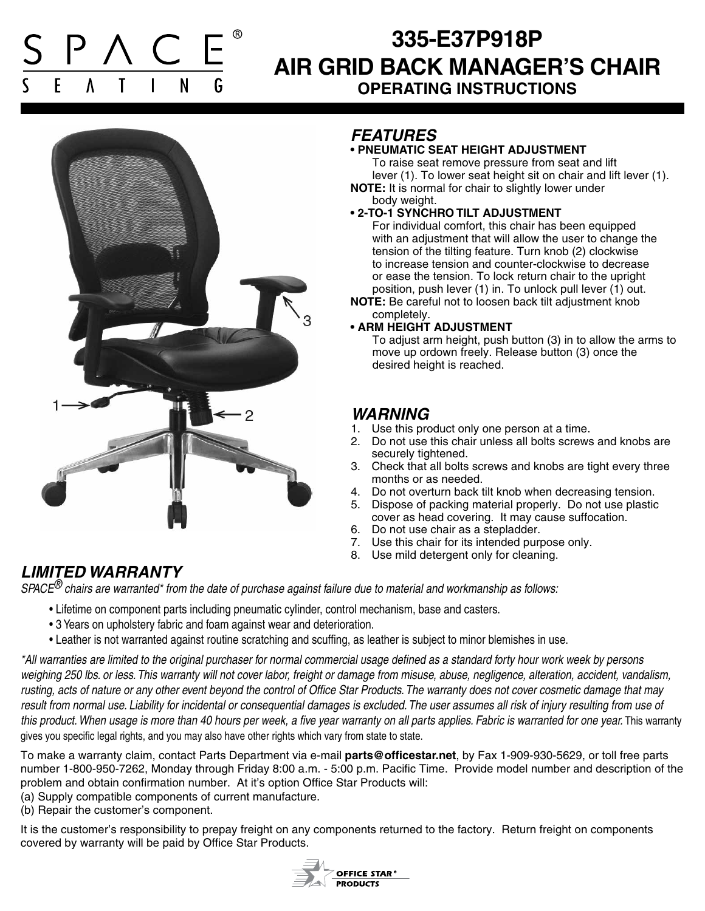# **335-E37P918P AIR GRID BACK MANAGER'S CHAIR OPERATING INSTRUCTIONS**



### *FEATURES*

#### **• PNEUMATIC SEAT HEIGHT ADJUSTMENT**

 To raise seat remove pressure from seat and lift lever (1). To lower seat height sit on chair and lift lever (1).

**NOTE:** It is normal for chair to slightly lower under body weight.

#### **• 2-TO-1 SYNCHRO TILT ADJUSTMENT**

 For individual comfort, this chair has been equipped with an adjustment that will allow the user to change the tension of the tilting feature. Turn knob (2) clockwise to increase tension and counter-clockwise to decrease or ease the tension. To lock return chair to the upright position, push lever (1) in. To unlock pull lever (1) out.

**NOTE:** Be careful not to loosen back tilt adjustment knob completely.

#### **• ARM HEIGHT ADJUSTMENT**

 To adjust arm height, push button (3) in to allow the arms to move up ordown freely. Release button (3) once the desired height is reached.

### *WARNING*

- 1. Use this product only one person at a time.
- 2. Do not use this chair unless all bolts screws and knobs are securely tightened.
- 3. Check that all bolts screws and knobs are tight every three months or as needed.
- 4. Do not overturn back tilt knob when decreasing tension.
- 5. Dispose of packing material properly. Do not use plastic cover as head covering. It may cause suffocation.
- 6. Do not use chair as a stepladder.
- 7. Use this chair for its intended purpose only.
- 8. Use mild detergent only for cleaning.

## *LIMITED WARRANTY*

*SPACE® chairs are warranted\* from the date of purchase against failure due to material and workmanship as follows:*

- Lifetime on component parts including pneumatic cylinder, control mechanism, base and casters.
- 3 Years on upholstery fabric and foam against wear and deterioration.
- Leather is not warranted against routine scratching and scuffing, as leather is subject to minor blemishes in use.

*\*All warranties are limited to the original purchaser for normal commercial usage defined as a standard forty hour work week by persons weighing 250 lbs. or less. This warranty will not cover labor, freight or damage from misuse, abuse, negligence, alteration, accident, vandalism, rusting, acts of nature or any other event beyond the control of Office Star Products. The warranty does not cover cosmetic damage that may*  result from normal use. Liability for incidental or consequential damages is excluded. The user assumes all risk of injury resulting from use of this product. When usage is more than 40 hours per week, a five year warranty on all parts applies. Fabric is warranted for one year. This warranty gives you specific legal rights, and you may also have other rights which vary from state to state.

To make a warranty claim, contact Parts Department via e-mail **parts@officestar.net**, by Fax 1-909-930-5629, or toll free parts number 1-800-950-7262, Monday through Friday 8:00 a.m. - 5:00 p.m. Pacific Time. Provide model number and description of the problem and obtain confirmation number. At it's option Office Star Products will:

- (a) Supply compatible components of current manufacture.
- (b) Repair the customer's component.

It is the customer's responsibility to prepay freight on any components returned to the factory. Return freight on components covered by warranty will be paid by Office Star Products.